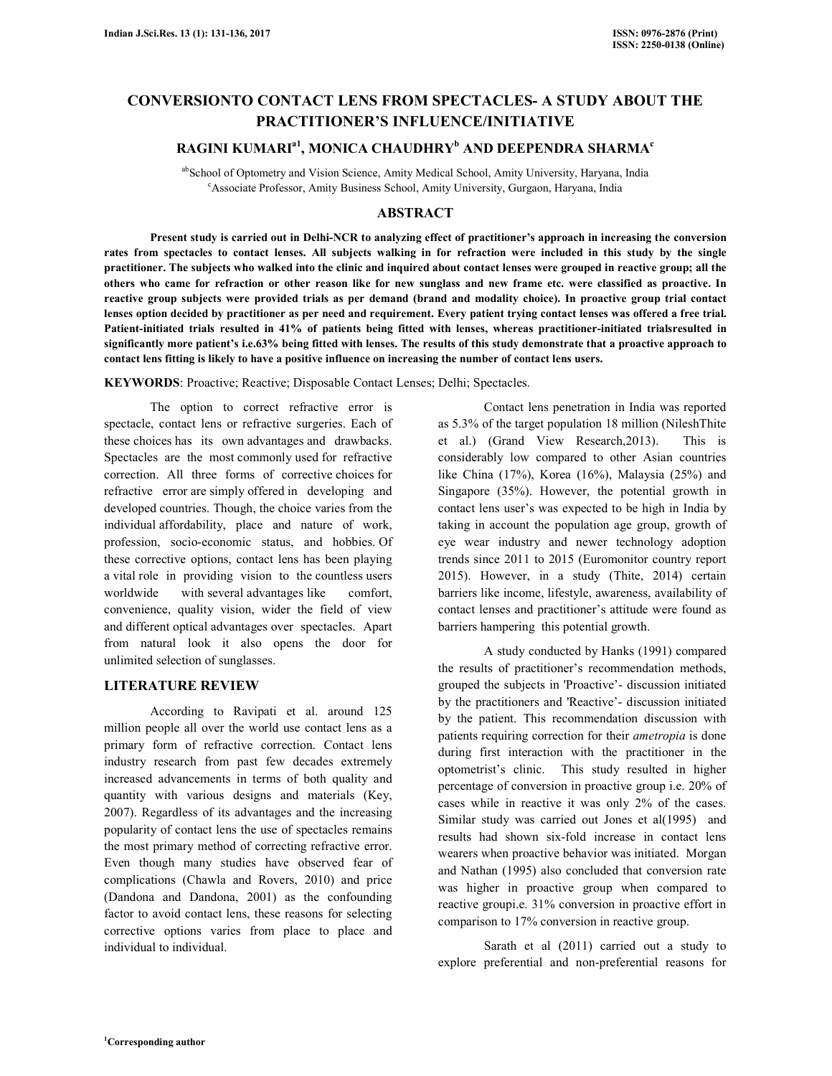# **CONVERSIONTO CONTACT LENS FROM SPECTACLES- A STUDY ABOUT THE PRACTITIONER'S INFLUENCE/INITIATIVE**

# **RAGINI KUMARIa1, MONICA CHAUDHRY<sup>b</sup> AND DEEPENDRA SHARMA<sup>c</sup>**

abSchool of Optometry and Vision Science, Amity Medical School, Amity University, Haryana, India <sup>c</sup>Associate Professor, Amity Business School, Amity University, Gurgaon, Haryana, India

# **ABSTRACT**

 **Present study is carried out in Delhi-NCR to analyzing effect of practitioner's approach in increasing the conversion rates from spectacles to contact lenses. All subjects walking in for refraction were included in this study by the single practitioner. The subjects who walked into the clinic and inquired about contact lenses were grouped in reactive group; all the others who came for refraction or other reason like for new sunglass and new frame etc. were classified as proactive. In reactive group subjects were provided trials as per demand (brand and modality choice). In proactive group trial contact lenses option decided by practitioner as per need and requirement. Every patient trying contact lenses was offered a free trial. Patient-initiated trials resulted in 41% of patients being fitted with lenses, whereas practitioner-initiated trialsresulted in significantly more patient's i.e.63% being fitted with lenses. The results of this study demonstrate that a proactive approach to contact lens fitting is likely to have a positive influence on increasing the number of contact lens users.** 

**KEYWORDS**: Proactive; Reactive; Disposable Contact Lenses; Delhi; Spectacles.

 The option to correct refractive error is spectacle, contact lens or refractive surgeries. Each of these choices has its own advantages and drawbacks. Spectacles are the most commonly used for refractive correction. All three forms of corrective choices for refractive error are simply offered in developing and developed countries. Though, the choice varies from the individual affordability, place and nature of work, profession, socio-economic status, and hobbies. Of these corrective options, contact lens has been playing a vital role in providing vision to the countless users worldwide with several advantages like comfort, convenience, quality vision, wider the field of view and different optical advantages over spectacles. Apart from natural look it also opens the door for unlimited selection of sunglasses.

# **LITERATURE REVIEW**

 According to Ravipati et al. around 125 million people all over the world use contact lens as a primary form of refractive correction. Contact lens industry research from past few decades extremely increased advancements in terms of both quality and quantity with various designs and materials (Key, 2007). Regardless of its advantages and the increasing popularity of contact lens the use of spectacles remains the most primary method of correcting refractive error. Even though many studies have observed fear of complications (Chawla and Rovers, 2010) and price (Dandona and Dandona, 2001) as the confounding factor to avoid contact lens, these reasons for selecting corrective options varies from place to place and individual to individual.

 Contact lens penetration in India was reported as 5.3% of the target population 18 million (NileshThite et al.) (Grand View Research,2013). This is considerably low compared to other Asian countries like China (17%), Korea (16%), Malaysia (25%) and Singapore (35%). However, the potential growth in contact lens user's was expected to be high in India by taking in account the population age group, growth of eye wear industry and newer technology adoption trends since 2011 to 2015 (Euromonitor country report 2015). However, in a study (Thite, 2014) certain barriers like income, lifestyle, awareness, availability of contact lenses and practitioner's attitude were found as barriers hampering this potential growth.

 A study conducted by Hanks (1991) compared the results of practitioner's recommendation methods, grouped the subjects in 'Proactive'- discussion initiated by the practitioners and 'Reactive'- discussion initiated by the patient. This recommendation discussion with patients requiring correction for their *ametropia* is done during first interaction with the practitioner in the optometrist's clinic. This study resulted in higher percentage of conversion in proactive group i.e. 20% of cases while in reactive it was only 2% of the cases. Similar study was carried out Jones et al(1995) and results had shown six-fold increase in contact lens wearers when proactive behavior was initiated. Morgan and Nathan (1995) also concluded that conversion rate was higher in proactive group when compared to reactive groupi.e. 31% conversion in proactive effort in comparison to 17% conversion in reactive group.

 Sarath et al (2011) carried out a study to explore preferential and non-preferential reasons for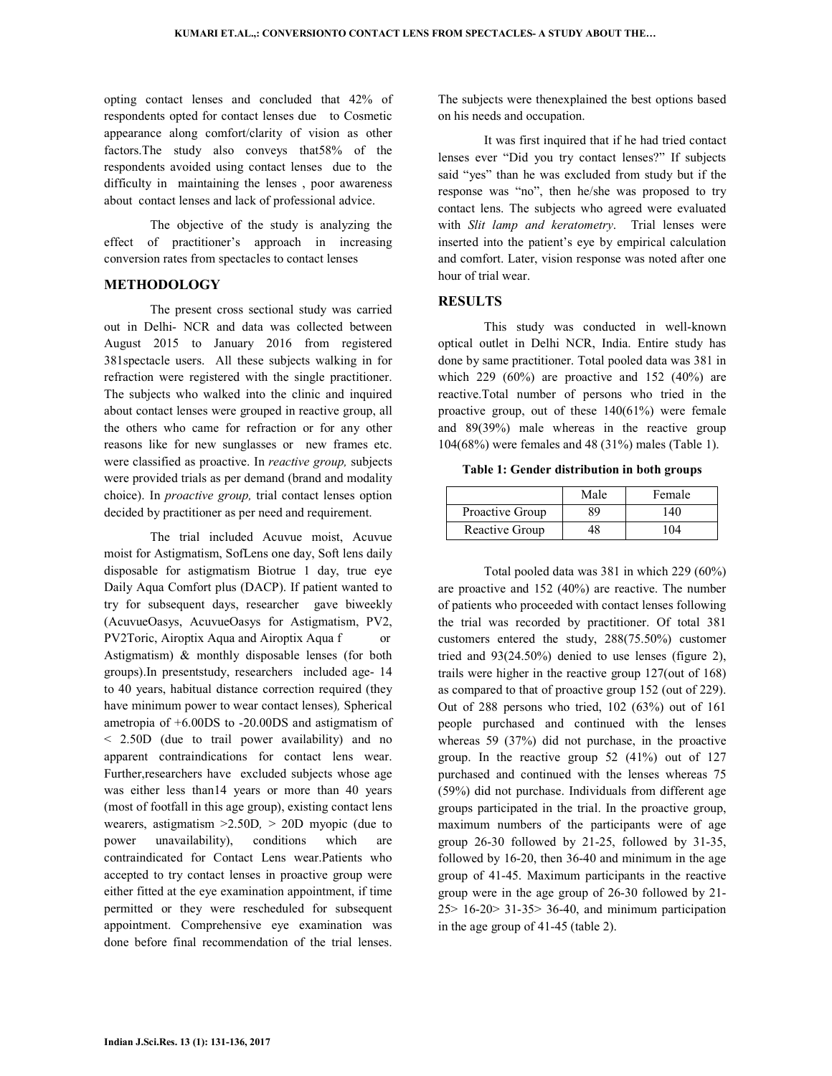opting contact lenses and concluded that 42% of respondents opted for contact lenses due to Cosmetic appearance along comfort/clarity of vision as other factors.The study also conveys that58% of the respondents avoided using contact lenses due to the difficulty in maintaining the lenses, poor awareness about contact lenses and lack of professional advice.

 The objective of the study is analyzing the effect of practitioner's approach in increasing conversion rates from spectacles to contact lenses

# **METHODOLOGY**

 The present cross sectional study was carried out in Delhi- NCR and data was collected between August 2015 to January 2016 from registered 381spectacle users. All these subjects walking in for refraction were registered with the single practitioner. The subjects who walked into the clinic and inquired about contact lenses were grouped in reactive group, all the others who came for refraction or for any other reasons like for new sunglasses or new frames etc. were classified as proactive. In *reactive group,* subjects were provided trials as per demand (brand and modality choice). In *proactive group,* trial contact lenses option decided by practitioner as per need and requirement.

 The trial included Acuvue moist, Acuvue moist for Astigmatism, SofLens one day, Soft lens daily disposable for astigmatism Biotrue 1 day, true eye Daily Aqua Comfort plus (DACP). If patient wanted to try for subsequent days, researcher gave biweekly (AcuvueOasys, AcuvueOasys for Astigmatism, PV2, PV2Toric, Airoptix Aqua and Airoptix Aqua f or Astigmatism) & monthly disposable lenses (for both groups).In presentstudy, researchers included age- 14 to 40 years, habitual distance correction required (they have minimum power to wear contact lenses)*,* Spherical ametropia of +6.00DS to -20.00DS and astigmatism of < 2.50D (due to trail power availability) and no apparent contraindications for contact lens wear. Further,researchers have excluded subjects whose age was either less than14 years or more than 40 years (most of footfall in this age group), existing contact lens wearers, astigmatism >2.50D*,* > 20D myopic (due to power unavailability), conditions which are contraindicated for Contact Lens wear.Patients who accepted to try contact lenses in proactive group were either fitted at the eye examination appointment, if time permitted or they were rescheduled for subsequent appointment. Comprehensive eye examination was done before final recommendation of the trial lenses.

The subjects were thenexplained the best options based on his needs and occupation.

 It was first inquired that if he had tried contact lenses ever "Did you try contact lenses?" If subjects said "yes" than he was excluded from study but if the response was "no", then he/she was proposed to try contact lens. The subjects who agreed were evaluated with *Slit lamp and keratometry*. Trial lenses were inserted into the patient's eye by empirical calculation and comfort. Later, vision response was noted after one hour of trial wear.

# **RESULTS**

 This study was conducted in well-known optical outlet in Delhi NCR, India. Entire study has done by same practitioner. Total pooled data was 381 in which 229  $(60\%)$  are proactive and 152  $(40\%)$  are reactive.Total number of persons who tried in the proactive group, out of these 140(61%) were female and 89(39%) male whereas in the reactive group 104(68%) were females and 48 (31%) males (Table 1).

**Table 1: Gender distribution in both groups** 

|                 | Male | Female |
|-----------------|------|--------|
| Proactive Group | 89   | 140    |
| Reactive Group  | 48   | 104    |

 Total pooled data was 381 in which 229 (60%) are proactive and 152 (40%) are reactive. The number of patients who proceeded with contact lenses following the trial was recorded by practitioner. Of total 381 customers entered the study, 288(75.50%) customer tried and 93(24.50%) denied to use lenses (figure 2), trails were higher in the reactive group 127(out of 168) as compared to that of proactive group 152 (out of 229). Out of 288 persons who tried, 102 (63%) out of 161 people purchased and continued with the lenses whereas 59 (37%) did not purchase, in the proactive group. In the reactive group 52 (41%) out of 127 purchased and continued with the lenses whereas 75 (59%) did not purchase. Individuals from different age groups participated in the trial. In the proactive group, maximum numbers of the participants were of age group 26-30 followed by 21-25, followed by 31-35, followed by 16-20, then 36-40 and minimum in the age group of 41-45. Maximum participants in the reactive group were in the age group of 26-30 followed by 21- 25> 16-20> 31-35> 36-40, and minimum participation in the age group of 41-45 (table 2).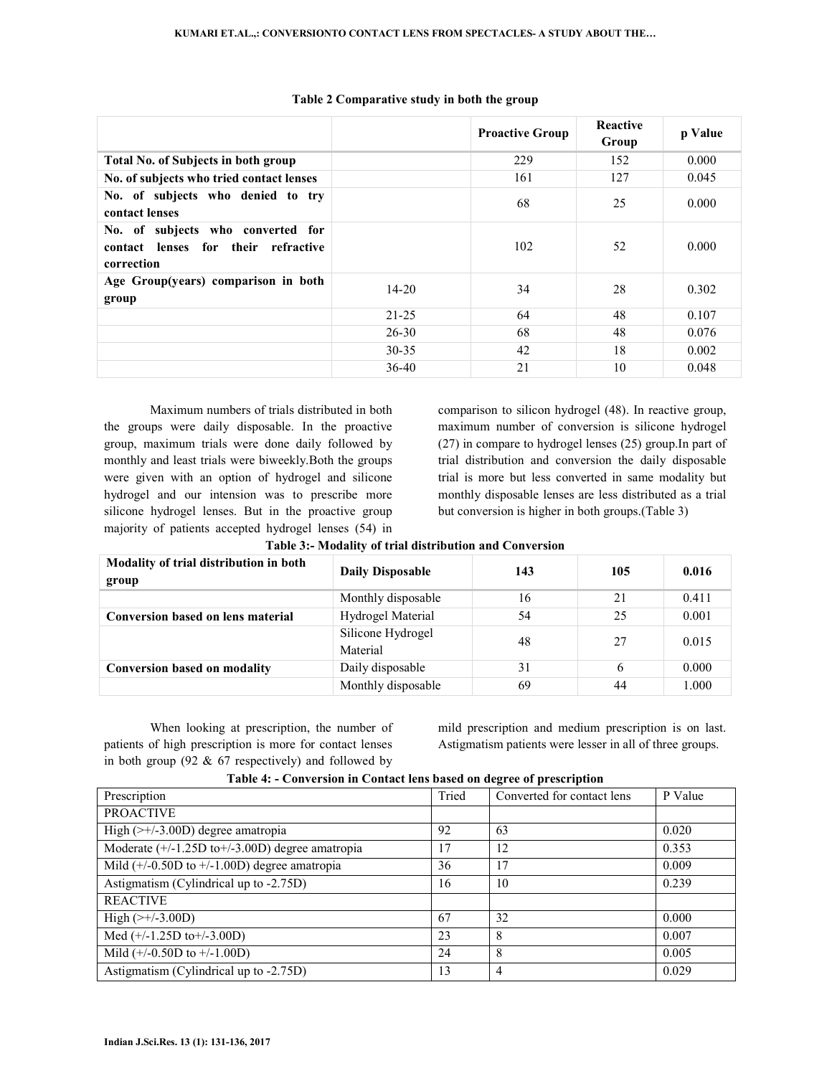|                                                                                        |           | <b>Proactive Group</b> | <b>Reactive</b><br>Group | p Value |
|----------------------------------------------------------------------------------------|-----------|------------------------|--------------------------|---------|
| <b>Total No. of Subjects in both group</b>                                             |           | 229                    | 152                      | 0.000   |
| No. of subjects who tried contact lenses                                               |           | 161                    | 127                      | 0.045   |
| No. of subjects who denied to try<br>contact lenses                                    |           | 68                     | 25                       | 0.000   |
| No. of subjects who converted for<br>contact lenses for their refractive<br>correction |           | 102                    | 52                       | 0.000   |
| Age Group(years) comparison in both<br>group                                           | $14 - 20$ | 34                     | 28                       | 0.302   |
|                                                                                        | $21 - 25$ | 64                     | 48                       | 0.107   |
|                                                                                        | $26 - 30$ | 68                     | 48                       | 0.076   |
|                                                                                        | $30 - 35$ | 42                     | 18                       | 0.002   |
|                                                                                        | $36-40$   | 21                     | 10                       | 0.048   |

#### **Table 2 Comparative study in both the group**

Maximum numbers of trials distributed in both the groups were daily disposable. In the proactive group, maximum trials were done daily followed by monthly and least trials were biweekly.Both the groups were given with an option of hydrogel and silicone hydrogel and our intension was to prescribe more silicone hydrogel lenses. But in the proactive group majority of patients accepted hydrogel lenses (54) in comparison to silicon hydrogel (48). In reactive group, maximum number of conversion is silicone hydrogel (27) in compare to hydrogel lenses (25) group.In part of trial distribution and conversion the daily disposable trial is more but less converted in same modality but monthly disposable lenses are less distributed as a trial but conversion is higher in both groups.(Table 3)

| Modality of trial distribution in both<br>group | <b>Daily Disposable</b>       | 143 | 105 | 0.016 |
|-------------------------------------------------|-------------------------------|-----|-----|-------|
|                                                 | Monthly disposable            | 16  | 21  | 0.411 |
| <b>Conversion based on lens material</b>        | Hydrogel Material             | 54  | 25  | 0.001 |
|                                                 | Silicone Hydrogel<br>Material | 48  | 27  | 0.015 |
| <b>Conversion based on modality</b>             | Daily disposable              | 31  | 6   | 0.000 |
|                                                 | Monthly disposable            | 69  | 44  | 1.000 |

|  |  |  |  |  | Table 3:- Modality of trial distribution and Conversion |
|--|--|--|--|--|---------------------------------------------------------|
|--|--|--|--|--|---------------------------------------------------------|

When looking at prescription, the number of patients of high prescription is more for contact lenses in both group (92 & 67 respectively) and followed by mild prescription and medium prescription is on last. Astigmatism patients were lesser in all of three groups.

| Thore is conversion in contact rens shock on accree or presemption |       |                            |         |  |  |
|--------------------------------------------------------------------|-------|----------------------------|---------|--|--|
| Prescription                                                       | Tried | Converted for contact lens | P Value |  |  |
| <b>PROACTIVE</b>                                                   |       |                            |         |  |  |
| High $(\geq)/3.00$ D) degree amatropia                             | 92    | 63                         | 0.020   |  |  |
| Moderate (+/-1.25D to+/-3.00D) degree amatropia                    | 17    | 12                         | 0.353   |  |  |
| Mild $(+/-0.50D$ to $+/-1.00D$ ) degree amatropia                  | 36    | 17                         | 0.009   |  |  |
| Astigmatism (Cylindrical up to -2.75D)                             | 16    | 10                         | 0.239   |  |  |
| <b>REACTIVE</b>                                                    |       |                            |         |  |  |
| High $(\geq +/-3.00D)$                                             | 67    | 32                         | 0.000   |  |  |
| Med $(+/-1.25D$ to + $/-3.00D$ )                                   | 23    | 8                          | 0.007   |  |  |
| Mild $(+/-0.50D$ to $+/-1.00D)$                                    | 24    | 8                          | 0.005   |  |  |
| Astigmatism (Cylindrical up to -2.75D)                             | 13    |                            | 0.029   |  |  |

### **Table 4: - Conversion in Contact lens based on degree of prescription**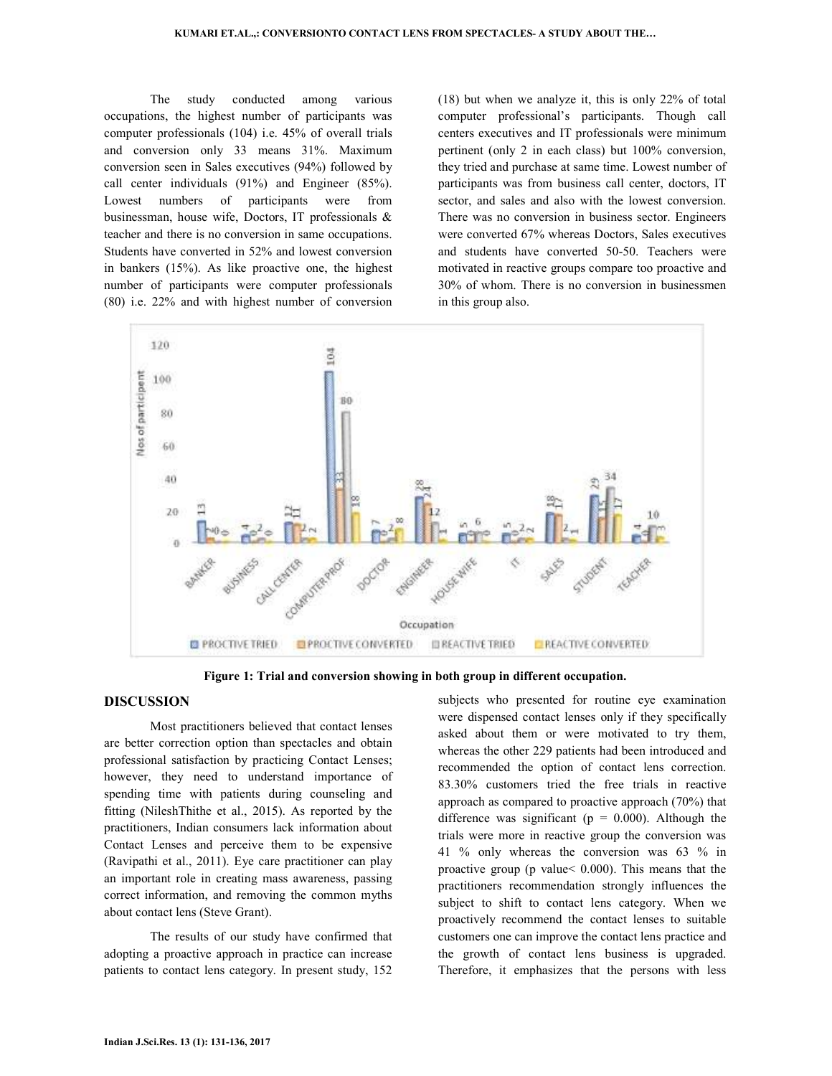The study conducted among various occupations, the highest number of participants was computer professionals (104) i.e. 45% of overall trials and conversion only 33 means 31%. Maximum conversion seen in Sales executives (94%) followed by call center individuals (91%) and Engineer (85%). Lowest numbers of participants were from businessman, house wife, Doctors, IT professionals & teacher and there is no conversion in same occupations. Students have converted in 52% and lowest conversion in bankers (15%). As like proactive one, the highest number of participants were computer professionals (80) i.e. 22% and with highest number of conversion (18) but when we analyze it, this is only 22% of total computer professional's participants. Though call centers executives and IT professionals were minimum pertinent (only 2 in each class) but 100% conversion, they tried and purchase at same time. Lowest number of participants was from business call center, doctors, IT sector, and sales and also with the lowest conversion. There was no conversion in business sector. Engineers were converted 67% whereas Doctors, Sales executives and students have converted 50-50. Teachers were motivated in reactive groups compare too proactive and 30% of whom. There is no conversion in businessmen in this group also.



**Figure 1: Trial and conversion showing in both group in different occupation.** 

### **DISCUSSION**

 Most practitioners believed that contact lenses are better correction option than spectacles and obtain professional satisfaction by practicing Contact Lenses; however, they need to understand importance of spending time with patients during counseling and fitting (NileshThithe et al., 2015). As reported by the practitioners, Indian consumers lack information about Contact Lenses and perceive them to be expensive (Ravipathi et al., 2011). Eye care practitioner can play an important role in creating mass awareness, passing correct information, and removing the common myths about contact lens (Steve Grant).

 The results of our study have confirmed that adopting a proactive approach in practice can increase patients to contact lens category. In present study, 152

subjects who presented for routine eye examination were dispensed contact lenses only if they specifically asked about them or were motivated to try them, whereas the other 229 patients had been introduced and recommended the option of contact lens correction. 83.30% customers tried the free trials in reactive approach as compared to proactive approach (70%) that difference was significant ( $p = 0.000$ ). Although the trials were more in reactive group the conversion was 41 % only whereas the conversion was 63 % in proactive group (p value< 0.000). This means that the practitioners recommendation strongly influences the subject to shift to contact lens category. When we proactively recommend the contact lenses to suitable customers one can improve the contact lens practice and the growth of contact lens business is upgraded. Therefore, it emphasizes that the persons with less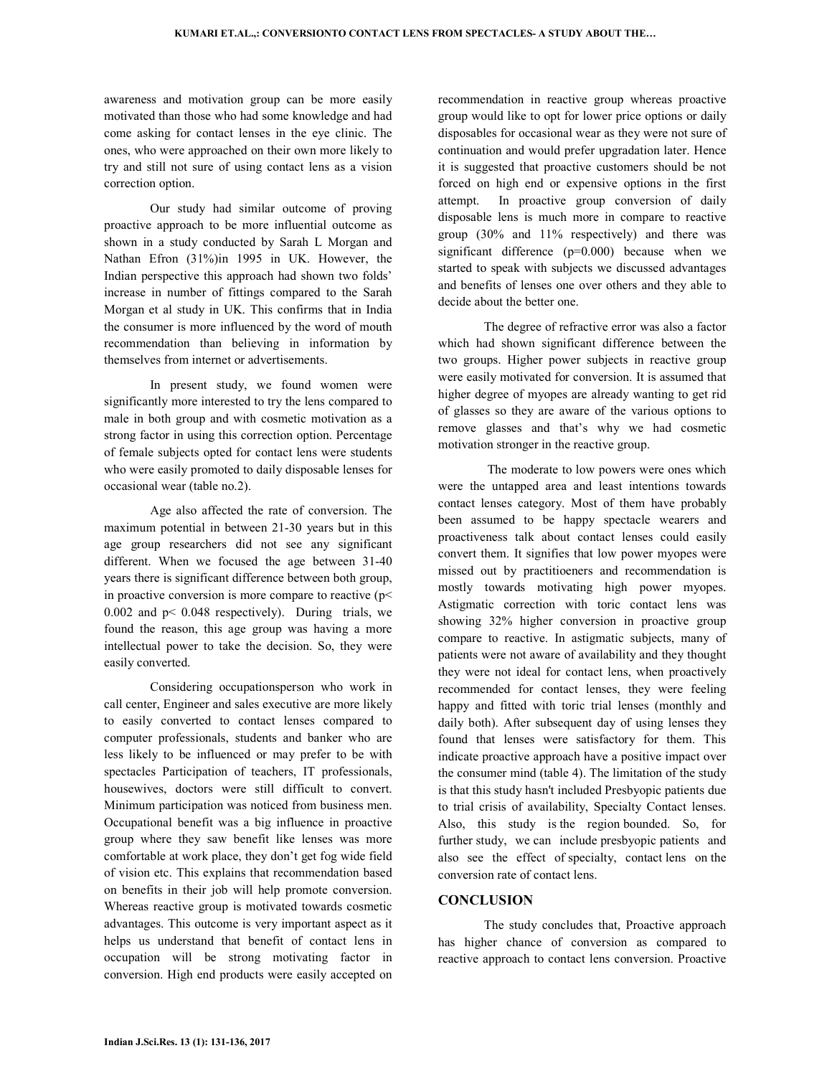awareness and motivation group can be more easily motivated than those who had some knowledge and had come asking for contact lenses in the eye clinic. The ones, who were approached on their own more likely to try and still not sure of using contact lens as a vision correction option.

 Our study had similar outcome of proving proactive approach to be more influential outcome as shown in a study conducted by Sarah L Morgan and Nathan Efron (31%)in 1995 in UK. However, the Indian perspective this approach had shown two folds' increase in number of fittings compared to the Sarah Morgan et al study in UK. This confirms that in India the consumer is more influenced by the word of mouth recommendation than believing in information by themselves from internet or advertisements.

 In present study, we found women were significantly more interested to try the lens compared to male in both group and with cosmetic motivation as a strong factor in using this correction option. Percentage of female subjects opted for contact lens were students who were easily promoted to daily disposable lenses for occasional wear (table no.2).

Age also affected the rate of conversion. The maximum potential in between 21-30 years but in this age group researchers did not see any significant different. When we focused the age between 31-40 years there is significant difference between both group, in proactive conversion is more compare to reactive  $(p<$ 0.002 and p< 0.048 respectively). During trials, we found the reason, this age group was having a more intellectual power to take the decision. So, they were easily converted.

Considering occupationsperson who work in call center, Engineer and sales executive are more likely to easily converted to contact lenses compared to computer professionals, students and banker who are less likely to be influenced or may prefer to be with spectacles Participation of teachers, IT professionals, housewives, doctors were still difficult to convert. Minimum participation was noticed from business men. Occupational benefit was a big influence in proactive group where they saw benefit like lenses was more comfortable at work place, they don't get fog wide field of vision etc. This explains that recommendation based on benefits in their job will help promote conversion. Whereas reactive group is motivated towards cosmetic advantages. This outcome is very important aspect as it helps us understand that benefit of contact lens in occupation will be strong motivating factor in conversion. High end products were easily accepted on

recommendation in reactive group whereas proactive group would like to opt for lower price options or daily disposables for occasional wear as they were not sure of continuation and would prefer upgradation later. Hence it is suggested that proactive customers should be not forced on high end or expensive options in the first attempt. In proactive group conversion of daily disposable lens is much more in compare to reactive group (30% and 11% respectively) and there was significant difference (p=0.000) because when we started to speak with subjects we discussed advantages and benefits of lenses one over others and they able to decide about the better one.

The degree of refractive error was also a factor which had shown significant difference between the two groups. Higher power subjects in reactive group were easily motivated for conversion. It is assumed that higher degree of myopes are already wanting to get rid of glasses so they are aware of the various options to remove glasses and that's why we had cosmetic motivation stronger in the reactive group.

 The moderate to low powers were ones which were the untapped area and least intentions towards contact lenses category. Most of them have probably been assumed to be happy spectacle wearers and proactiveness talk about contact lenses could easily convert them. It signifies that low power myopes were missed out by practitioeners and recommendation is mostly towards motivating high power myopes. Astigmatic correction with toric contact lens was showing 32% higher conversion in proactive group compare to reactive. In astigmatic subjects, many of patients were not aware of availability and they thought they were not ideal for contact lens, when proactively recommended for contact lenses, they were feeling happy and fitted with toric trial lenses (monthly and daily both). After subsequent day of using lenses they found that lenses were satisfactory for them. This indicate proactive approach have a positive impact over the consumer mind (table 4). The limitation of the study is that this study hasn't included Presbyopic patients due to trial crisis of availability, Specialty Contact lenses. Also, this study is the region bounded. So, for further study, we can include presbyopic patients and also see the effect of specialty, contact lens on the conversion rate of contact lens.

### **CONCLUSION**

 The study concludes that, Proactive approach has higher chance of conversion as compared to reactive approach to contact lens conversion. Proactive